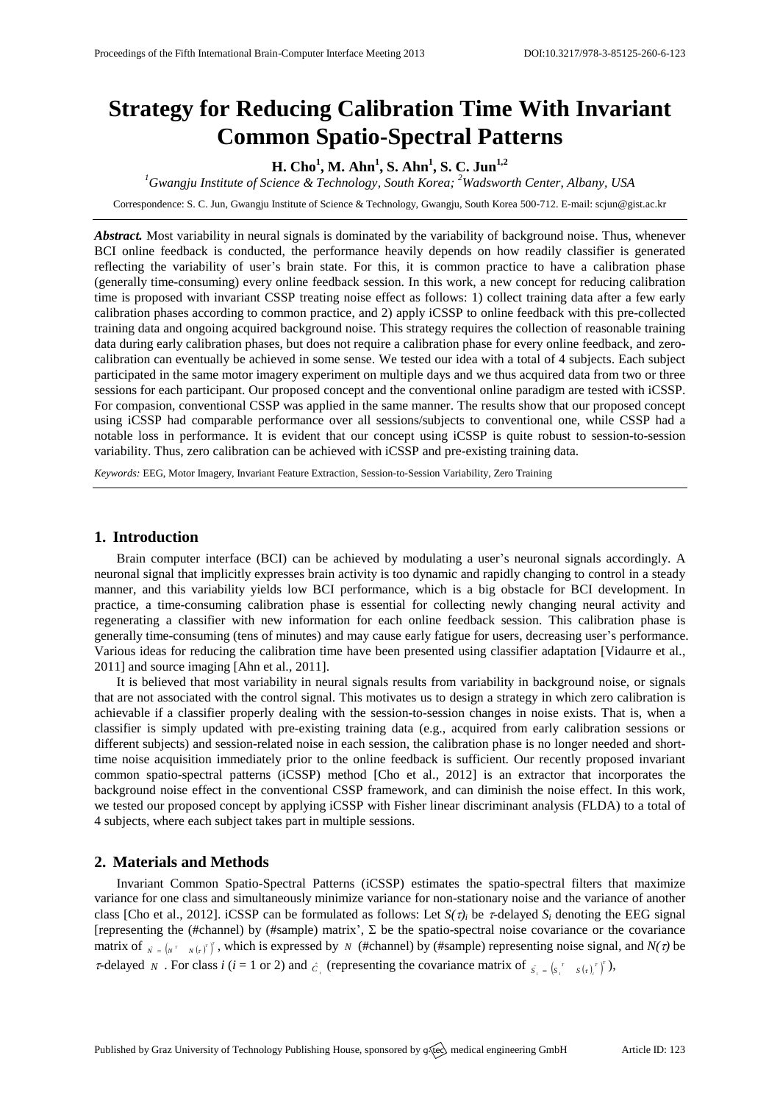# **Strategy for Reducing Calibration Time With Invariant Common Spatio-Spectral Patterns**

## **H. Cho<sup>1</sup> , M. Ahn<sup>1</sup> , S. Ahn<sup>1</sup> , S. C. Jun1,2**

*<sup>1</sup>Gwangju Institute of Science & Technology, South Korea; <sup>2</sup>Wadsworth Center, Albany, USA*

Correspondence: S. C. Jun, Gwangju Institute of Science & Technology, Gwangju, South Korea 500-712. E-mail[: scjun@gist.ac.kr](mailto:scjun@gist.ac.kr)

*Abstract.* Most variability in neural signals is dominated by the variability of background noise. Thus, whenever BCI online feedback is conducted, the performance heavily depends on how readily classifier is generated reflecting the variability of user's brain state. For this, it is common practice to have a calibration phase (generally time-consuming) every online feedback session. In this work, a new concept for reducing calibration time is proposed with invariant CSSP treating noise effect as follows: 1) collect training data after a few early calibration phases according to common practice, and 2) apply iCSSP to online feedback with this pre-collected training data and ongoing acquired background noise. This strategy requires the collection of reasonable training data during early calibration phases, but does not require a calibration phase for every online feedback, and zerocalibration can eventually be achieved in some sense. We tested our idea with a total of 4 subjects. Each subject participated in the same motor imagery experiment on multiple days and we thus acquired data from two or three sessions for each participant. Our proposed concept and the conventional online paradigm are tested with iCSSP. For compasion, conventional CSSP was applied in the same manner. The results show that our proposed concept using iCSSP had comparable performance over all sessions/subjects to conventional one, while CSSP had a notable loss in performance. It is evident that our concept using iCSSP is quite robust to session-to-session variability. Thus, zero calibration can be achieved with iCSSP and pre-existing training data.

*Keywords:* EEG, Motor Imagery, Invariant Feature Extraction, Session-to-Session Variability, Zero Training

## **1. Introduction**

Brain computer interface (BCI) can be achieved by modulating a user's neuronal signals accordingly. A neuronal signal that implicitly expresses brain activity is too dynamic and rapidly changing to control in a steady manner, and this variability yields low BCI performance, which is a big obstacle for BCI development. In practice, a time-consuming calibration phase is essential for collecting newly changing neural activity and regenerating a classifier with new information for each online feedback session. This calibration phase is generally time-consuming (tens of minutes) and may cause early fatigue for users, decreasing user's performance. Various ideas for reducing the calibration time have been presented using classifier adaptation [Vidaurre et al., 2011] and source imaging [Ahn et al., 2011].

It is believed that most variability in neural signals results from variability in background noise, or signals that are not associated with the control signal. This motivates us to design a strategy in which zero calibration is achievable if a classifier properly dealing with the session-to-session changes in noise exists. That is, when a classifier is simply updated with pre-existing training data (e.g., acquired from early calibration sessions or different subjects) and session-related noise in each session, the calibration phase is no longer needed and shorttime noise acquisition immediately prior to the online feedback is sufficient. Our recently proposed invariant common spatio-spectral patterns (iCSSP) method [Cho et al., 2012] is an extractor that incorporates the background noise effect in the conventional CSSP framework, and can diminish the noise effect. In this work, we tested our proposed concept by applying iCSSP with Fisher linear discriminant analysis (FLDA) to a total of 4 subjects, where each subject takes part in multiple sessions.

### **2. Materials and Methods**

Invariant Common Spatio-Spectral Patterns (iCSSP) estimates the spatio-spectral filters that maximize variance for one class and simultaneously minimize variance for non-stationary noise and the variance of another class [Cho et al., 2012]. iCSSP can be formulated as follows: Let  $S(\tau)$ *<sub>i</sub>* be  $\tau$ -delayed  $S_i$  denoting the EEG signal [representing the (#channel) by (#sample) matrix',  $\Sigma$  be the spatio-spectral noise covariance or the covariance matrix of  $\hat{N} = \begin{bmatrix} N^T & N(r) \end{bmatrix}$ , which is expressed by *N* (#channel) by (#sample) representing noise signal, and *N(τ*) be *r*-delayed *N*. For class *i* (*i* = 1 or 2) and  $\hat{c}_i$  (representing the covariance matrix of  $\hat{s}_i = (s_i^T - s(r_i^T))^T$ ),